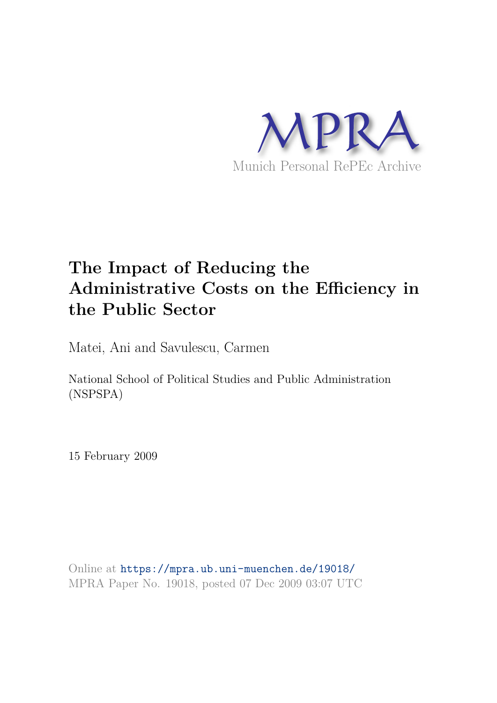

# **The Impact of Reducing the Administrative Costs on the Efficiency in the Public Sector**

Matei, Ani and Savulescu, Carmen

National School of Political Studies and Public Administration (NSPSPA)

15 February 2009

Online at https://mpra.ub.uni-muenchen.de/19018/ MPRA Paper No. 19018, posted 07 Dec 2009 03:07 UTC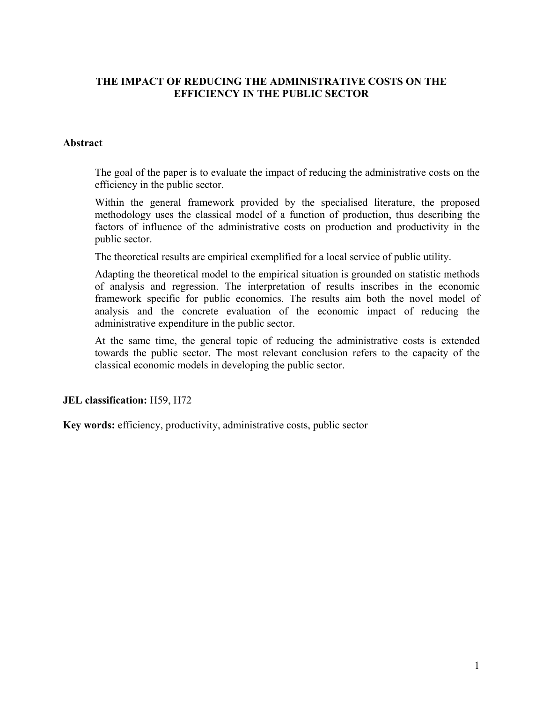## **THE IMPACT OF REDUCING THE ADMINISTRATIVE COSTS ON THE EFFICIENCY IN THE PUBLIC SECTOR**

#### **Abstract**

The goal of the paper is to evaluate the impact of reducing the administrative costs on the efficiency in the public sector.

Within the general framework provided by the specialised literature, the proposed methodology uses the classical model of a function of production, thus describing the factors of influence of the administrative costs on production and productivity in the public sector.

The theoretical results are empirical exemplified for a local service of public utility.

Adapting the theoretical model to the empirical situation is grounded on statistic methods of analysis and regression. The interpretation of results inscribes in the economic framework specific for public economics. The results aim both the novel model of analysis and the concrete evaluation of the economic impact of reducing the administrative expenditure in the public sector.

At the same time, the general topic of reducing the administrative costs is extended towards the public sector. The most relevant conclusion refers to the capacity of the classical economic models in developing the public sector.

#### **JEL classification:** H59, H72

**Key words:** efficiency, productivity, administrative costs, public sector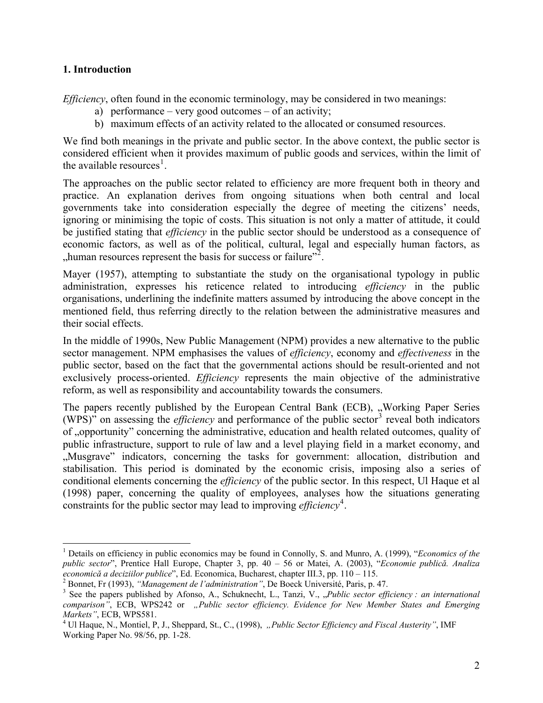## **1. Introduction**

 $\overline{a}$ 

*Efficiency*, often found in the economic terminology, may be considered in two meanings:

- a) performance very good outcomes of an activity;
- b) maximum effects of an activity related to the allocated or consumed resources.

We find both meanings in the private and public sector. In the above context, the public sector is considered efficient when it provides maximum of public goods and services, within the limit of the available resources<sup>1</sup>.

The approaches on the public sector related to efficiency are more frequent both in theory and practice. An explanation derives from ongoing situations when both central and local governments take into consideration especially the degree of meeting the citizens' needs, ignoring or minimising the topic of costs. This situation is not only a matter of attitude, it could be justified stating that *efficiency* in the public sector should be understood as a consequence of economic factors, as well as of the political, cultural, legal and especially human factors, as "human resources represent the basis for success or failure"<sup>2</sup>.

Mayer (1957), attempting to substantiate the study on the organisational typology in public administration, expresses his reticence related to introducing *efficiency* in the public organisations, underlining the indefinite matters assumed by introducing the above concept in the mentioned field, thus referring directly to the relation between the administrative measures and their social effects.

In the middle of 1990s, New Public Management (NPM) provides a new alternative to the public sector management. NPM emphasises the values of *efficiency*, economy and *effectiveness* in the public sector, based on the fact that the governmental actions should be result-oriented and not exclusively process-oriented. *Efficiency* represents the main objective of the administrative reform, as well as responsibility and accountability towards the consumers.

The papers recently published by the European Central Bank (ECB), "Working Paper Series (WPS)<sup> $\degree$ </sup> on assessing the *efficiency* and performance of the public sector<sup>3</sup> reveal both indicators of "opportunity" concerning the administrative, education and health related outcomes, quality of public infrastructure, support to rule of law and a level playing field in a market economy, and "Musgrave" indicators, concerning the tasks for government: allocation, distribution and stabilisation. This period is dominated by the economic crisis, imposing also a series of conditional elements concerning the *efficiency* of the public sector. In this respect, Ul Haque et al (1998) paper, concerning the quality of employees, analyses how the situations generating constraints for the public sector may lead to improving *efficiency*<sup>4</sup>.

<sup>1</sup> Details on efficiency in public economics may be found in Connolly, S. and Munro, A. (1999), "*Economics of the public sector*", Prentice Hall Europe, Chapter 3, pp. 40 – 56 or Matei, A. (2003), "*Economie publică. Analiza economică a deciziilor publice*", Ed. Economica, Bucharest, chapter III.3, pp. 110 – 115.

<sup>2</sup> Bonnet, Fr (1993), *"Management de l'administration"*, De Boeck Université, Paris, p. 47.

<sup>&</sup>lt;sup>3</sup> See the papers published by Afonso, A., Schuknecht, L., Tanzi, V., "Public sector efficiency : an international *comparison"*, ECB, WPS242 or *"Public sector efficiency. Evidence for New Member States and Emerging Markets"*, ECB, WPS581.

<sup>&</sup>lt;sup>4</sup> Ul Haque, N., Montiel, P, J., Sheppard, St., C., (1998), *"Public Sector Efficiency and Fiscal Austerity"*, IMF Working Paper No. 98/56, pp. 1-28.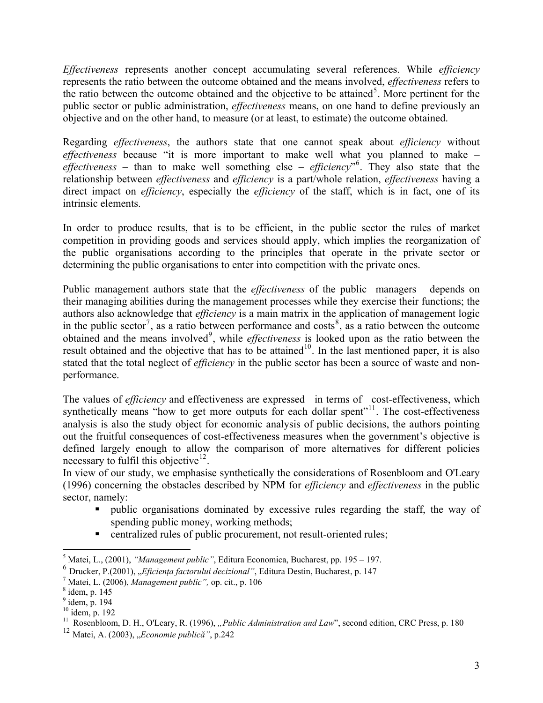*Effectiveness* represents another concept accumulating several references. While *efficiency* represents the ratio between the outcome obtained and the means involved, *effectiveness* refers to the ratio between the outcome obtained and the objective to be attained<sup>5</sup>. More pertinent for the public sector or public administration, *effectiveness* means, on one hand to define previously an objective and on the other hand, to measure (or at least, to estimate) the outcome obtained.

Regarding *effectiveness*, the authors state that one cannot speak about *efficiency* without *effectiveness* because "it is more important to make well what you planned to make – effectiveness – than to make well something else – *efficiency*<sup>16</sup>. They also state that the relationship between *effectiveness* and *efficiency* is a part/whole relation, *effectiveness* having a direct impact on *efficiency*, especially the *efficiency* of the staff, which is in fact, one of its intrinsic elements.

In order to produce results, that is to be efficient, in the public sector the rules of market competition in providing goods and services should apply, which implies the reorganization of the public organisations according to the principles that operate in the private sector or determining the public organisations to enter into competition with the private ones.

Public management authors state that the *effectiveness* of the public managers depends on their managing abilities during the management processes while they exercise their functions; the authors also acknowledge that *efficiency* is a main matrix in the application of management logic in the public sector<sup>7</sup>, as a ratio between performance and costs<sup>8</sup>, as a ratio between the outcome obtained and the means involved<sup>9</sup>, while *effectiveness* is looked upon as the ratio between the result obtained and the objective that has to be attained<sup>10</sup>. In the last mentioned paper, it is also stated that the total neglect of *efficiency* in the public sector has been a source of waste and nonperformance.

The values of *efficiency* and effectiveness are expressed in terms of cost-effectiveness, which synthetically means "how to get more outputs for each dollar spent"<sup>11</sup>. The cost-effectiveness analysis is also the study object for economic analysis of public decisions, the authors pointing out the fruitful consequences of cost-effectiveness measures when the government's objective is defined largely enough to allow the comparison of more alternatives for different policies necessary to fulfil this objective $12$ .

In view of our study, we emphasise synthetically the considerations of Rosenbloom and O'Leary (1996) concerning the obstacles described by NPM for *efficiency* and *effectiveness* in the public sector, namely:

- public organisations dominated by excessive rules regarding the staff, the way of spending public money, working methods;
- centralized rules of public procurement, not result-oriented rules;

 5 Matei, L., (2001), *"Management public"*, Editura Economica, Bucharest, pp. 195 – 197.

<sup>6</sup> Drucker, P.(2001), "*Eficiența factorului decizional*", Editura Destin, Bucharest, p. 147

<sup>7</sup> Matei, L. (2006), *Management public",* op. cit., p. 106

<sup>8</sup> idem, p. 145

 $<sup>9</sup>$  idem, p. 194</sup>

 $10$  idem, p. 192

<sup>&</sup>lt;sup>11</sup> Rosenbloom, D. H., O'Leary, R. (1996), *"Public Administration and Law*", second edition, CRC Press, p. 180

<sup>12</sup> Matei, A. (2003), "*Economie publică"*, p.242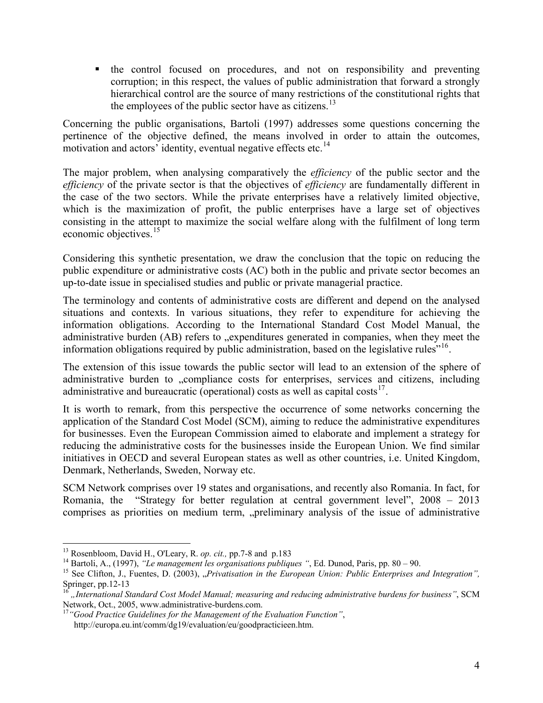the control focused on procedures, and not on responsibility and preventing corruption; in this respect, the values of public administration that forward a strongly hierarchical control are the source of many restrictions of the constitutional rights that the employees of the public sector have as citizens.<sup>13</sup>

Concerning the public organisations, Bartoli (1997) addresses some questions concerning the pertinence of the objective defined, the means involved in order to attain the outcomes, motivation and actors' identity, eventual negative effects etc.<sup>14</sup>

The major problem, when analysing comparatively the *efficiency* of the public sector and the *efficiency* of the private sector is that the objectives of *efficiency* are fundamentally different in the case of the two sectors. While the private enterprises have a relatively limited objective, which is the maximization of profit, the public enterprises have a large set of objectives consisting in the attempt to maximize the social welfare along with the fulfilment of long term economic objectives.<sup>15</sup>

Considering this synthetic presentation, we draw the conclusion that the topic on reducing the public expenditure or administrative costs (AC) both in the public and private sector becomes an up-to-date issue in specialised studies and public or private managerial practice.

The terminology and contents of administrative costs are different and depend on the analysed situations and contexts. In various situations, they refer to expenditure for achieving the information obligations. According to the International Standard Cost Model Manual, the administrative burden (AB) refers to "expenditures generated in companies, when they meet the information obligations required by public administration, based on the legislative rules"<sup>16</sup>.

The extension of this issue towards the public sector will lead to an extension of the sphere of administrative burden to "compliance costs for enterprises, services and citizens, including administrative and bureaucratic (operational) costs as well as capital costs<sup>17</sup>.

It is worth to remark, from this perspective the occurrence of some networks concerning the application of the Standard Cost Model (SCM), aiming to reduce the administrative expenditures for businesses. Even the European Commission aimed to elaborate and implement a strategy for reducing the administrative costs for the businesses inside the European Union. We find similar initiatives in OECD and several European states as well as other countries, i.e. United Kingdom, Denmark, Netherlands, Sweden, Norway etc.

SCM Network comprises over 19 states and organisations, and recently also Romania. In fact, for Romania, the "Strategy for better regulation at central government level", 2008 – 2013 comprises as priorities on medium term, "preliminary analysis of the issue of administrative

 $\overline{a}$ 

<sup>13</sup> Rosenbloom, David H., O'Leary, R. *op. cit.,* pp.7-8 and p.183

<sup>14</sup> Bartoli, A., (1997), *"Le management les organisations publiques "*, Ed. Dunod, Paris, pp. 80 – 90.

<sup>&</sup>lt;sup>15</sup> See Clifton, J., Fuentes, D. (2003), "Privatisation in the European Union: Public Enterprises and Integration", Springer, pp.12-13

<sup>16</sup> *"International Standard Cost Model Manual; measuring and reducing administrative burdens for business"*, SCM Network, Oct., 2005, www.administrative-burdens.com.

<sup>17</sup>*"Good Practice Guidelines for the Management of the Evaluation Function"*, http://europa.eu.int/comm/dg19/evaluation/eu/goodpracticieen.htm.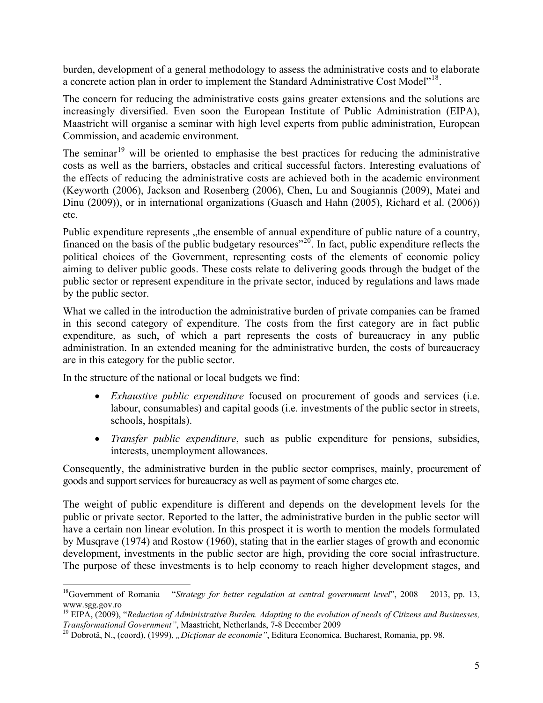burden, development of a general methodology to assess the administrative costs and to elaborate a concrete action plan in order to implement the Standard Administrative Cost Model"<sup>18</sup>.

The concern for reducing the administrative costs gains greater extensions and the solutions are increasingly diversified. Even soon the European Institute of Public Administration (EIPA), Maastricht will organise a seminar with high level experts from public administration, European Commission, and academic environment.

The seminar<sup>19</sup> will be oriented to emphasise the best practices for reducing the administrative costs as well as the barriers, obstacles and critical successful factors. Interesting evaluations of the effects of reducing the administrative costs are achieved both in the academic environment (Keyworth (2006), Jackson and Rosenberg (2006), Chen, Lu and Sougiannis (2009), Matei and Dinu (2009)), or in international organizations (Guasch and Hahn (2005), Richard et al. (2006)) etc.

Public expenditure represents , the ensemble of annual expenditure of public nature of a country, financed on the basis of the public budgetary resources<sup> $20$ </sup>. In fact, public expenditure reflects the political choices of the Government, representing costs of the elements of economic policy aiming to deliver public goods. These costs relate to delivering goods through the budget of the public sector or represent expenditure in the private sector, induced by regulations and laws made by the public sector.

What we called in the introduction the administrative burden of private companies can be framed in this second category of expenditure. The costs from the first category are in fact public expenditure, as such, of which a part represents the costs of bureaucracy in any public administration. In an extended meaning for the administrative burden, the costs of bureaucracy are in this category for the public sector.

In the structure of the national or local budgets we find:

- *Exhaustive public expenditure* focused on procurement of goods and services (i.e. labour, consumables) and capital goods (i.e. investments of the public sector in streets, schools, hospitals).
- *Transfer public expenditure*, such as public expenditure for pensions, subsidies, interests, unemployment allowances.

Consequently, the administrative burden in the public sector comprises, mainly, procurement of goods and support services for bureaucracy as well as payment of some charges etc.

The weight of public expenditure is different and depends on the development levels for the public or private sector. Reported to the latter, the administrative burden in the public sector will have a certain non linear evolution. In this prospect it is worth to mention the models formulated by Musqrave (1974) and Rostow (1960), stating that in the earlier stages of growth and economic development, investments in the public sector are high, providing the core social infrastructure. The purpose of these investments is to help economy to reach higher development stages, and

 $\overline{a}$ <sup>18</sup>Government of Romania – "*Strategy for better regulation at central government level*", 2008 – 2013, pp. 13, www.sgg.gov.ro

<sup>19</sup> EIPA, (2009), "*Reduction of Administrative Burden. Adapting to the evolution of needs of Citizens and Businesses, Transformational Government"*, Maastricht, Netherlands, 7-8 December 2009

<sup>&</sup>lt;sup>20</sup> Dobrotă, N., (coord), (1999), *"Dicționar de economie"*, Editura Economica, Bucharest, Romania, pp. 98.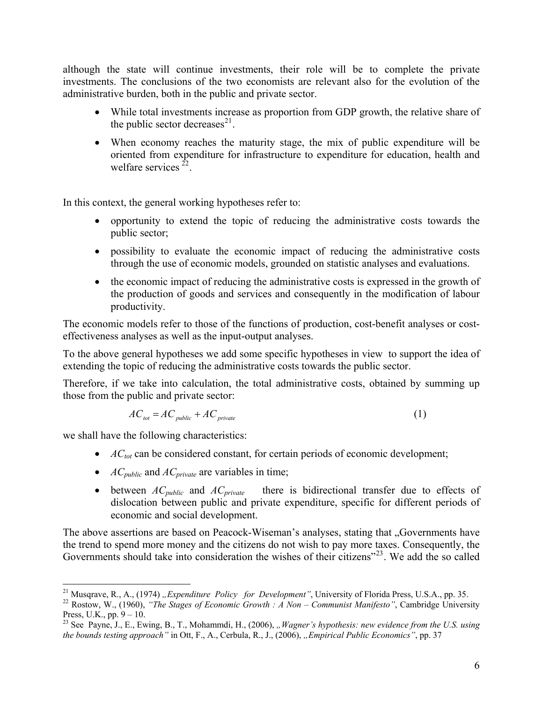although the state will continue investments, their role will be to complete the private investments. The conclusions of the two economists are relevant also for the evolution of the administrative burden, both in the public and private sector.

- While total investments increase as proportion from GDP growth, the relative share of the public sector decreases $^{21}$ .
- When economy reaches the maturity stage, the mix of public expenditure will be oriented from expenditure for infrastructure to expenditure for education, health and welfare services  $^{22}$ .

In this context, the general working hypotheses refer to:

- opportunity to extend the topic of reducing the administrative costs towards the public sector;
- possibility to evaluate the economic impact of reducing the administrative costs through the use of economic models, grounded on statistic analyses and evaluations.
- the economic impact of reducing the administrative costs is expressed in the growth of the production of goods and services and consequently in the modification of labour productivity.

The economic models refer to those of the functions of production, cost-benefit analyses or costeffectiveness analyses as well as the input-output analyses.

To the above general hypotheses we add some specific hypotheses in view to support the idea of extending the topic of reducing the administrative costs towards the public sector.

Therefore, if we take into calculation, the total administrative costs, obtained by summing up those from the public and private sector:

$$
AC_{tot} = AC_{public} + AC_{private}
$$
 (1)

we shall have the following characteristics:

- *AC*<sub>*tot*</sub> can be considered constant, for certain periods of economic development;
- *ACpublic* and *ACprivate* are variables in time;
- between  $AC_{public}$  and  $AC_{private}$  there is bidirectional transfer due to effects of dislocation between public and private expenditure, specific for different periods of economic and social development.

The above assertions are based on Peacock-Wiseman's analyses, stating that "Governments have" the trend to spend more money and the citizens do not wish to pay more taxes. Consequently, the Governments should take into consideration the wishes of their citizens"<sup>23</sup>. We add the so called

 $\overline{a}$ <sup>21</sup> Musqrave, R., A., (1974) *"Expenditure Policy for Development"*, University of Florida Press, U.S.A., pp. 35.

<sup>22</sup> Rostow, W., (1960), *"The Stages of Economic Growth : A Non – Communist Manifesto"*, Cambridge University Press, U.K., pp.  $9 - 10$ .

<sup>&</sup>lt;sup>23</sup> See Payne, J., E., Ewing, B., T., Mohammdi, H., (2006), *"Wagner's hypothesis: new evidence from the U.S. using the bounds testing approach"* in Ott, F., A., Cerbula, R., J., (2006), *"Empirical Public Economics"*, pp. 37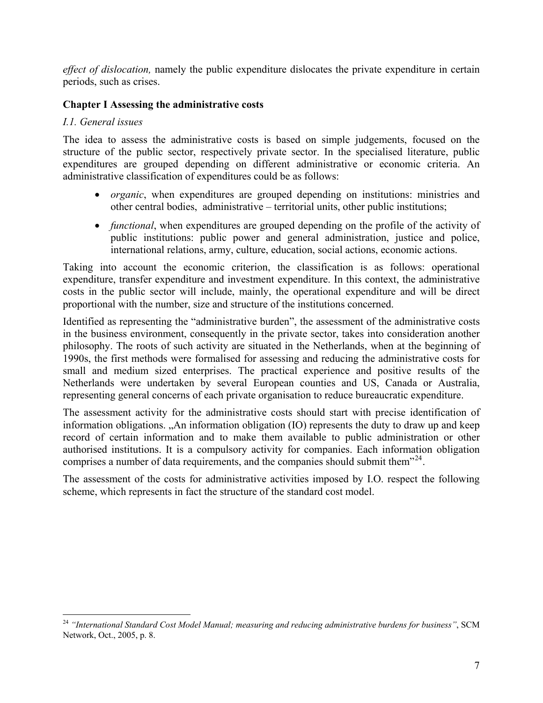*effect of dislocation,* namely the public expenditure dislocates the private expenditure in certain periods, such as crises.

# **Chapter I Assessing the administrative costs**

## *I.1. General issues*

The idea to assess the administrative costs is based on simple judgements, focused on the structure of the public sector, respectively private sector. In the specialised literature, public expenditures are grouped depending on different administrative or economic criteria. An administrative classification of expenditures could be as follows:

- *organic*, when expenditures are grouped depending on institutions: ministries and other central bodies, administrative – territorial units, other public institutions;
- *functional*, when expenditures are grouped depending on the profile of the activity of public institutions: public power and general administration, justice and police, international relations, army, culture, education, social actions, economic actions.

Taking into account the economic criterion, the classification is as follows: operational expenditure, transfer expenditure and investment expenditure. In this context, the administrative costs in the public sector will include, mainly, the operational expenditure and will be direct proportional with the number, size and structure of the institutions concerned.

Identified as representing the "administrative burden", the assessment of the administrative costs in the business environment, consequently in the private sector, takes into consideration another philosophy. The roots of such activity are situated in the Netherlands, when at the beginning of 1990s, the first methods were formalised for assessing and reducing the administrative costs for small and medium sized enterprises. The practical experience and positive results of the Netherlands were undertaken by several European counties and US, Canada or Australia, representing general concerns of each private organisation to reduce bureaucratic expenditure.

The assessment activity for the administrative costs should start with precise identification of information obligations. "An information obligation (IO) represents the duty to draw up and keep record of certain information and to make them available to public administration or other authorised institutions. It is a compulsory activity for companies. Each information obligation comprises a number of data requirements, and the companies should submit them<sup>"24</sup>.

The assessment of the costs for administrative activities imposed by I.O. respect the following scheme, which represents in fact the structure of the standard cost model.

 $\overline{a}$ <sup>24</sup> *"International Standard Cost Model Manual; measuring and reducing administrative burdens for business"*, SCM Network, Oct., 2005, p. 8.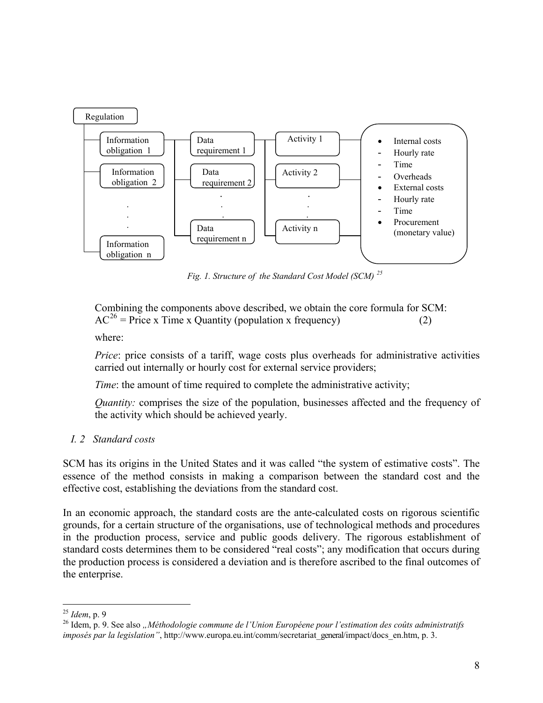

*Fig. 1. Structure of the Standard Cost Model (SCM) <sup>25</sup>*

 Combining the components above described, we obtain the core formula for SCM:  $AC^{26}$  = Price x Time x Quantity (population x frequency) (2)

where:

*Price*: price consists of a tariff, wage costs plus overheads for administrative activities carried out internally or hourly cost for external service providers;

*Time*: the amount of time required to complete the administrative activity;

*Quantity:* comprises the size of the population, businesses affected and the frequency of the activity which should be achieved yearly.

# *I. 2 Standard costs*

SCM has its origins in the United States and it was called "the system of estimative costs". The essence of the method consists in making a comparison between the standard cost and the effective cost, establishing the deviations from the standard cost.

In an economic approach, the standard costs are the ante-calculated costs on rigorous scientific grounds, for a certain structure of the organisations, use of technological methods and procedures in the production process, service and public goods delivery. The rigorous establishment of standard costs determines them to be considered "real costs"; any modification that occurs during the production process is considered a deviation and is therefore ascribed to the final outcomes of the enterprise.

 $\overline{a}$ <sup>25</sup> *Idem*, p. 9

<sup>&</sup>lt;sup>26</sup> Idem, p. 9. See also "Méthodologie commune de l'Union Européene pour l'estimation des coûts administratifs *imposés par la legislation"*, http://www.europa.eu.int/comm/secretariat\_general/impact/docs\_en.htm, p. 3.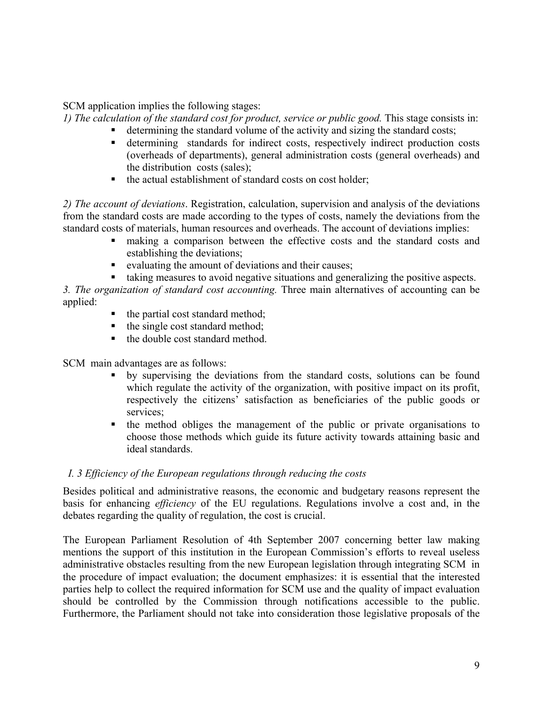SCM application implies the following stages:

*1) The calculation of the standard cost for product, service or public good.* This stage consists in: ■ determining the standard volume of the activity and sizing the standard costs;

- determining standards for indirect costs, respectively indirect production costs (overheads of departments), general administration costs (general overheads) and the distribution costs (sales);
- the actual establishment of standard costs on cost holder;

*2) The account of deviations*. Registration, calculation, supervision and analysis of the deviations from the standard costs are made according to the types of costs, namely the deviations from the standard costs of materials, human resources and overheads. The account of deviations implies:

- making a comparison between the effective costs and the standard costs and establishing the deviations;
- evaluating the amount of deviations and their causes;
- taking measures to avoid negative situations and generalizing the positive aspects.

*3. The organization of standard cost accounting.* Three main alternatives of accounting can be applied:

- $\blacksquare$  the partial cost standard method;
- $\blacksquare$  the single cost standard method;
- the double cost standard method.

SCM main advantages are as follows:

- by supervising the deviations from the standard costs, solutions can be found which regulate the activity of the organization, with positive impact on its profit, respectively the citizens' satisfaction as beneficiaries of the public goods or services;
- the method obliges the management of the public or private organisations to choose those methods which guide its future activity towards attaining basic and ideal standards.

## *I. 3 Efficiency of the European regulations through reducing the costs*

Besides political and administrative reasons, the economic and budgetary reasons represent the basis for enhancing *efficiency* of the EU regulations. Regulations involve a cost and, in the debates regarding the quality of regulation, the cost is crucial.

The European Parliament Resolution of 4th September 2007 concerning better law making mentions the support of this institution in the European Commission's efforts to reveal useless administrative obstacles resulting from the new European legislation through integrating SCMin the procedure of impact evaluation; the document emphasizes: it is essential that the interested parties help to collect the required information for SCM use and the quality of impact evaluation should be controlled by the Commission through notifications accessible to the public. Furthermore, the Parliament should not take into consideration those legislative proposals of the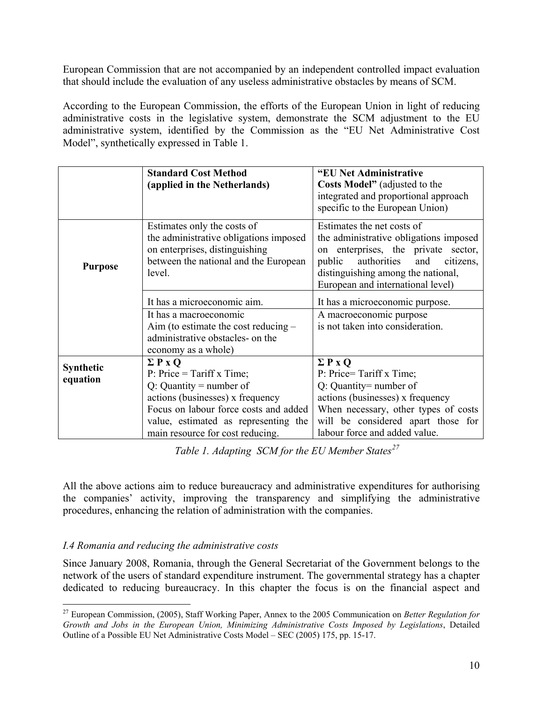European Commission that are not accompanied by an independent controlled impact evaluation that should include the evaluation of any useless administrative obstacles by means of SCM.

According to the European Commission, the efforts of the European Union in light of reducing administrative costs in the legislative system, demonstrate the SCM adjustment to the EU administrative system, identified by the Commission as the "EU Net Administrative Cost Model", synthetically expressed in Table 1.

|                              | <b>Standard Cost Method</b><br>(applied in the Netherlands)                                                                                                                                                                       | "EU Net Administrative<br><b>Costs Model</b> " (adjusted to the<br>integrated and proportional approach<br>specific to the European Union)                                                                                          |
|------------------------------|-----------------------------------------------------------------------------------------------------------------------------------------------------------------------------------------------------------------------------------|-------------------------------------------------------------------------------------------------------------------------------------------------------------------------------------------------------------------------------------|
| <b>Purpose</b>               | Estimates only the costs of<br>the administrative obligations imposed<br>on enterprises, distinguishing<br>between the national and the European<br>level.                                                                        | Estimates the net costs of<br>the administrative obligations imposed<br>on enterprises, the private sector,<br>authorities<br>public<br>and<br>citizens,<br>distinguishing among the national,<br>European and international level) |
|                              | It has a microeconomic aim.                                                                                                                                                                                                       | It has a microeconomic purpose.                                                                                                                                                                                                     |
|                              | It has a macroeconomic<br>Aim (to estimate the cost reducing $-$<br>administrative obstacles- on the<br>economy as a whole)                                                                                                       | A macroeconomic purpose<br>is not taken into consideration.                                                                                                                                                                         |
| <b>Synthetic</b><br>equation | $\Sigma$ P x O<br>P: Price = Tariff x Time;<br>$Q:$ Quantity = number of<br>actions (businesses) x frequency<br>Focus on labour force costs and added<br>value, estimated as representing the<br>main resource for cost reducing. | $\Sigma$ P x Q<br>P: Price=Tariff x Time;<br>$Q:$ Quantity = number of<br>actions (businesses) x frequency<br>When necessary, other types of costs<br>will be considered apart those for<br>labour force and added value.           |

*Table 1. Adapting SCM for the EU Member States<sup>27</sup>*

All the above actions aim to reduce bureaucracy and administrative expenditures for authorising the companies' activity, improving the transparency and simplifying the administrative procedures, enhancing the relation of administration with the companies.

## *I.4 Romania and reducing the administrative costs*

Since January 2008, Romania, through the General Secretariat of the Government belongs to the network of the users of standard expenditure instrument. The governmental strategy has a chapter dedicated to reducing bureaucracy. In this chapter the focus is on the financial aspect and

 $\overline{a}$ <sup>27</sup> European Commission, (2005), Staff Working Paper, Annex to the 2005 Communication on *Better Regulation for Growth and Jobs in the European Union, Minimizing Administrative Costs Imposed by Legislations*, Detailed Outline of a Possible EU Net Administrative Costs Model – SEC (2005) 175, pp. 15-17.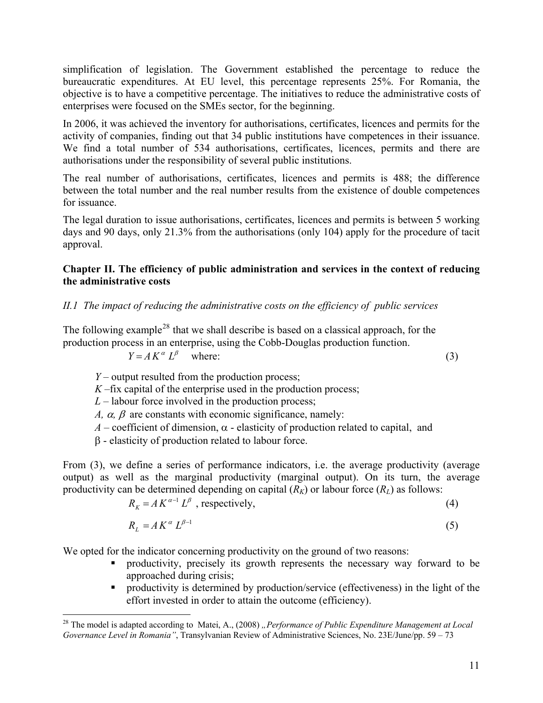simplification of legislation. The Government established the percentage to reduce the bureaucratic expenditures. At EU level, this percentage represents 25%. For Romania, the objective is to have a competitive percentage. The initiatives to reduce the administrative costs of enterprises were focused on the SMEs sector, for the beginning.

In 2006, it was achieved the inventory for authorisations, certificates, licences and permits for the activity of companies, finding out that 34 public institutions have competences in their issuance. We find a total number of 534 authorisations, certificates, licences, permits and there are authorisations under the responsibility of several public institutions.

The real number of authorisations, certificates, licences and permits is 488; the difference between the total number and the real number results from the existence of double competences for issuance.

The legal duration to issue authorisations, certificates, licences and permits is between 5 working days and 90 days, only 21.3% from the authorisations (only 104) apply for the procedure of tacit approval.

#### **Chapter II. The efficiency of public administration and services in the context of reducing the administrative costs**

## *II.1 The impact of reducing the administrative costs on the efficiency of public services*

The following example<sup>28</sup> that we shall describe is based on a classical approach, for the production process in an enterprise, using the Cobb-Douglas production function.

$$
Y = AK^{\alpha} L^{\beta} \quad \text{where:} \tag{3}
$$

*Y* – output resulted from the production process;

 $K$ –fix capital of the enterprise used in the production process;

 $L$  – labour force involved in the production process;

*A,*  $\alpha$ *,*  $\beta$  *are constants with economic significance, namely:* 

 $A$  – coefficient of dimension,  $\alpha$  - elasticity of production related to capital, and

β - elasticity of production related to labour force.

 $\overline{a}$ 

From (3), we define a series of performance indicators, i.e. the average productivity (average output) as well as the marginal productivity (marginal output). On its turn, the average productivity can be determined depending on capital  $(R_K)$  or labour force  $(R_L)$  as follows:

$$
R_K = AK^{\alpha-1}L^{\beta} \text{ , respectively,}
$$
 (4)

$$
R_L = A K^{\alpha} L^{\beta - 1} \tag{5}
$$

We opted for the indicator concerning productivity on the ground of two reasons:

- productivity, precisely its growth represents the necessary way forward to be approached during crisis;
- **Productivity is determined by production/service (effectiveness) in the light of the** effort invested in order to attain the outcome (efficiency).

<sup>&</sup>lt;sup>28</sup> The model is adapted according to Matei, A., (2008) *"Performance of Public Expenditure Management at Local Governance Level in Romania"*, Transylvanian Review of Administrative Sciences, No. 23E/June/pp. 59 – 73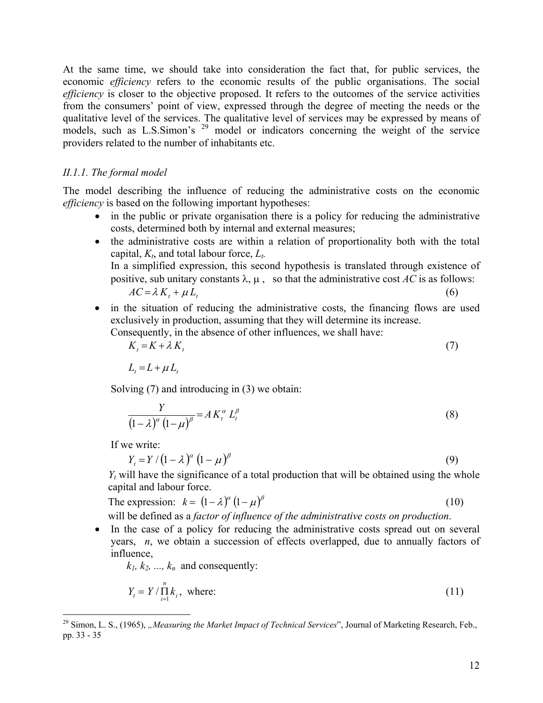At the same time, we should take into consideration the fact that, for public services, the economic *efficiency* refers to the economic results of the public organisations. The social *efficiency* is closer to the objective proposed. It refers to the outcomes of the service activities from the consumers' point of view, expressed through the degree of meeting the needs or the qualitative level of the services. The qualitative level of services may be expressed by means of models, such as L.S.Simon's <sup>29</sup> model or indicators concerning the weight of the service providers related to the number of inhabitants etc.

## *II.1.1. The formal model*

The model describing the influence of reducing the administrative costs on the economic *efficiency* is based on the following important hypotheses:

- in the public or private organisation there is a policy for reducing the administrative costs, determined both by internal and external measures;
- the administrative costs are within a relation of proportionality both with the total capital,  $K_t$ , and total labour force,  $L_t$ . In a simplified expression, this second hypothesis is translated through existence of positive, sub unitary constants  $\lambda$ ,  $\mu$ , so that the administrative cost *AC* is as follows:

$$
AC = \lambda K_t + \mu L_t \tag{6}
$$

• in the situation of reducing the administrative costs, the financing flows are used exclusively in production, assuming that they will determine its increase. Consequently, in the absence of other influences, we shall have:

$$
K_t = K + \lambda K_t \tag{7}
$$

$$
L_t = L + \mu L_t
$$

Solving (7) and introducing in (3) we obtain:

$$
\frac{Y}{\left(1-\lambda\right)^{\alpha}\left(1-\mu\right)^{\beta}}=A K_t^{\alpha} L_t^{\beta}
$$
\n(8)

If we write:

$$
Y_t = Y / (1 - \lambda)^{\alpha} (1 - \mu)^{\beta}
$$
 (9)

 $Y_t$  will have the significance of a total production that will be obtained using the whole capital and labour force.

The expression: 
$$
k = (1 - \lambda)^{\alpha} (1 - \mu)^{\beta}
$$
 (10)

will be defined as a *factor of influence of the administrative costs on production*.

• In the case of a policy for reducing the administrative costs spread out on several years, *n*, we obtain a succession of effects overlapped, due to annually factors of influence,

 $k_1, k_2, \ldots, k_n$  and consequently:

$$
Y_t = Y / \prod_{i=1}^n k_i, \text{ where: } \tag{11}
$$

 $\overline{a}$ <sup>29</sup> Simon, L. S., (1965), *"Measuring the Market Impact of Technical Services*", Journal of Marketing Research, Feb., pp. 33 - 35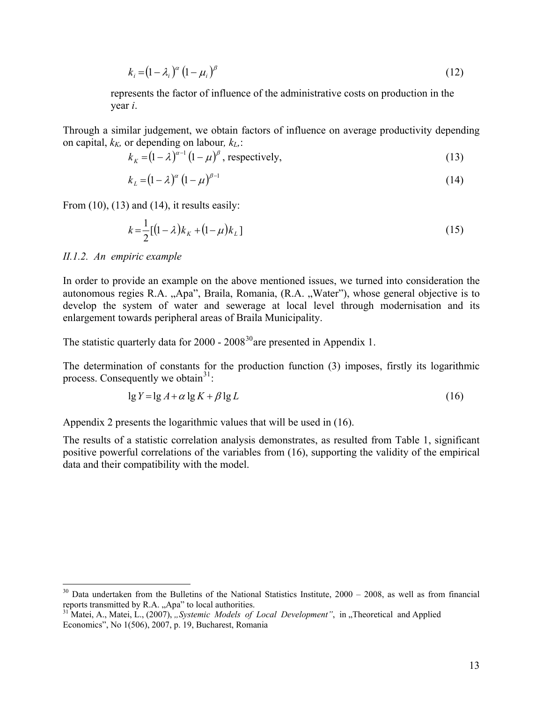$$
k_i = (1 - \lambda_i)^{\alpha} (1 - \mu_i)^{\beta} \tag{12}
$$

 represents the factor of influence of the administrative costs on production in the year *i*.

Through a similar judgement, we obtain factors of influence on average productivity depending on capital,  $k_K$ , or depending on labour,  $k_L$ .

$$
k_K = (1 - \lambda)^{\alpha - 1} (1 - \mu)^{\beta}, \text{ respectively,}
$$
 (13)

$$
k_{L} = (1 - \lambda)^{\alpha} (1 - \mu)^{\beta - 1} \tag{14}
$$

From  $(10)$ ,  $(13)$  and  $(14)$ , it results easily:

$$
k = \frac{1}{2} [(1 - \lambda)k_K + (1 - \mu)k_L]
$$
 (15)

#### *II.1.2. An empiric example*

 $\overline{a}$ 

In order to provide an example on the above mentioned issues, we turned into consideration the autonomous regies R.A. "Apa", Braila, Romania, (R.A. "Water"), whose general objective is to develop the system of water and sewerage at local level through modernisation and its enlargement towards peripheral areas of Braila Municipality.

The statistic quarterly data for  $2000 - 2008^{30}$  are presented in Appendix 1.

The determination of constants for the production function (3) imposes, firstly its logarithmic process. Consequently we obtain  $3^1$ :

$$
\lg Y = \lg A + \alpha \lg K + \beta \lg L \tag{16}
$$

Appendix 2 presents the logarithmic values that will be used in (16).

The results of a statistic correlation analysis demonstrates, as resulted from Table 1, significant positive powerful correlations of the variables from (16), supporting the validity of the empirical data and their compatibility with the model.

 $30$  Data undertaken from the Bulletins of the National Statistics Institute,  $2000 - 2008$ , as well as from financial reports transmitted by R.A. "Apa" to local authorities.

<sup>&</sup>lt;sup>31</sup> Matei, A., Matei, L., (2007), *"Systemic Models of Local Development*", in "Theoretical and Applied Economics", No 1(506), 2007, p. 19, Bucharest, Romania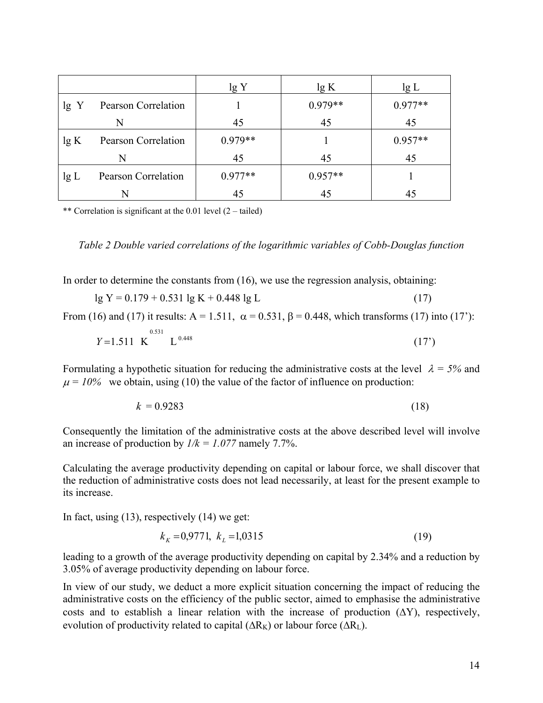|      |                            | lg Y      | lg K      | lg L      |
|------|----------------------------|-----------|-----------|-----------|
| lg Y | <b>Pearson Correlation</b> |           | $0.979**$ | $0.977**$ |
|      | N                          | 45        | 45        | 45        |
| lg K | <b>Pearson Correlation</b> | $0.979**$ |           | $0.957**$ |
|      | N                          | 45        | 45        | 45        |
| lg L | <b>Pearson Correlation</b> | $0.977**$ | $0.957**$ |           |
|      |                            | 45        | 45        |           |

\*\* Correlation is significant at the 0.01 level (2 – tailed)

*Table 2 Double varied correlations of the logarithmic variables of Cobb-Douglas function* 

In order to determine the constants from (16), we use the regression analysis, obtaining:

$$
lg Y = 0.179 + 0.531 lg K + 0.448 lg L
$$
 (17)

From (16) and (17) it results: A = 1.511,  $\alpha = 0.531$ ,  $\beta = 0.448$ , which transforms (17) into (17'):

$$
Y=1.511 \text{ K}^{0.531} \text{ L}^{0.448} \tag{17'}
$$

Formulating a hypothetic situation for reducing the administrative costs at the level  $\lambda = 5\%$  and  $\mu = 10\%$  we obtain, using (10) the value of the factor of influence on production:

$$
k = 0.9283\tag{18}
$$

Consequently the limitation of the administrative costs at the above described level will involve an increase of production by  $1/k = 1.077$  namely 7.7%.

Calculating the average productivity depending on capital or labour force, we shall discover that the reduction of administrative costs does not lead necessarily, at least for the present example to its increase.

In fact, using (13), respectively (14) we get:

$$
k_{K} = 0.9771, k_{L} = 1.0315
$$
\n<sup>(19)</sup>

leading to a growth of the average productivity depending on capital by 2.34% and a reduction by 3.05% of average productivity depending on labour force.

In view of our study, we deduct a more explicit situation concerning the impact of reducing the administrative costs on the efficiency of the public sector, aimed to emphasise the administrative costs and to establish a linear relation with the increase of production  $(\Delta Y)$ , respectively, evolution of productivity related to capital  $(\Delta R_K)$  or labour force  $(\Delta R_L)$ .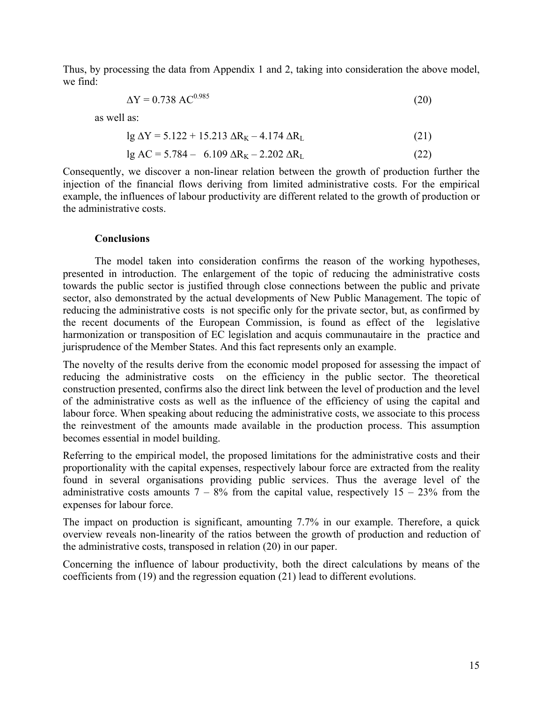Thus, by processing the data from Appendix 1 and 2, taking into consideration the above model, we find:

$$
\Delta Y = 0.738 \, \text{AC}^{0.985} \tag{20}
$$

as well as:

 $\log \Delta Y = 5.122 + 15.213 \Delta R_K - 4.174 \Delta R_L$  (21)

$$
lg AC = 5.784 - 6.109 \Delta R_K - 2.202 \Delta R_L
$$
 (22)

Consequently, we discover a non-linear relation between the growth of production further the injection of the financial flows deriving from limited administrative costs. For the empirical example, the influences of labour productivity are different related to the growth of production or the administrative costs.

#### **Conclusions**

The model taken into consideration confirms the reason of the working hypotheses, presented in introduction. The enlargement of the topic of reducing the administrative costs towards the public sector is justified through close connections between the public and private sector, also demonstrated by the actual developments of New Public Management. The topic of reducing the administrative costs is not specific only for the private sector, but, as confirmed by the recent documents of the European Commission, is found as effect of the legislative harmonization or transposition of EC legislation and acquis communautaire in the practice and jurisprudence of the Member States. And this fact represents only an example.

The novelty of the results derive from the economic model proposed for assessing the impact of reducing the administrative costs on the efficiency in the public sector. The theoretical construction presented, confirms also the direct link between the level of production and the level of the administrative costs as well as the influence of the efficiency of using the capital and labour force. When speaking about reducing the administrative costs, we associate to this process the reinvestment of the amounts made available in the production process. This assumption becomes essential in model building.

Referring to the empirical model, the proposed limitations for the administrative costs and their proportionality with the capital expenses, respectively labour force are extracted from the reality found in several organisations providing public services. Thus the average level of the administrative costs amounts  $7 - 8\%$  from the capital value, respectively  $15 - 23\%$  from the expenses for labour force.

The impact on production is significant, amounting 7.7% in our example. Therefore, a quick overview reveals non-linearity of the ratios between the growth of production and reduction of the administrative costs, transposed in relation (20) in our paper.

Concerning the influence of labour productivity, both the direct calculations by means of the coefficients from (19) and the regression equation (21) lead to different evolutions.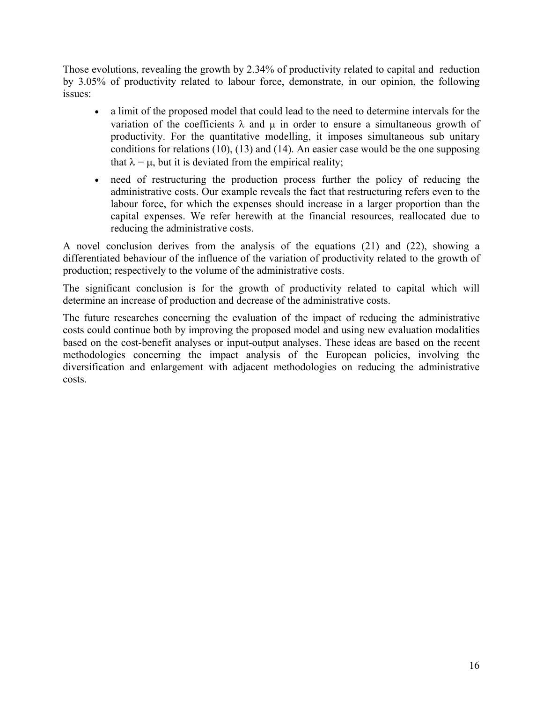Those evolutions, revealing the growth by 2.34% of productivity related to capital and reduction by 3.05% of productivity related to labour force, demonstrate, in our opinion, the following issues:

- a limit of the proposed model that could lead to the need to determine intervals for the variation of the coefficients  $\lambda$  and  $\mu$  in order to ensure a simultaneous growth of productivity. For the quantitative modelling, it imposes simultaneous sub unitary conditions for relations (10), (13) and (14). An easier case would be the one supposing that  $\lambda = \mu$ , but it is deviated from the empirical reality;
- need of restructuring the production process further the policy of reducing the administrative costs. Our example reveals the fact that restructuring refers even to the labour force, for which the expenses should increase in a larger proportion than the capital expenses. We refer herewith at the financial resources, reallocated due to reducing the administrative costs.

A novel conclusion derives from the analysis of the equations (21) and (22), showing a differentiated behaviour of the influence of the variation of productivity related to the growth of production; respectively to the volume of the administrative costs.

The significant conclusion is for the growth of productivity related to capital which will determine an increase of production and decrease of the administrative costs.

The future researches concerning the evaluation of the impact of reducing the administrative costs could continue both by improving the proposed model and using new evaluation modalities based on the cost-benefit analyses or input-output analyses. These ideas are based on the recent methodologies concerning the impact analysis of the European policies, involving the diversification and enlargement with adjacent methodologies on reducing the administrative costs.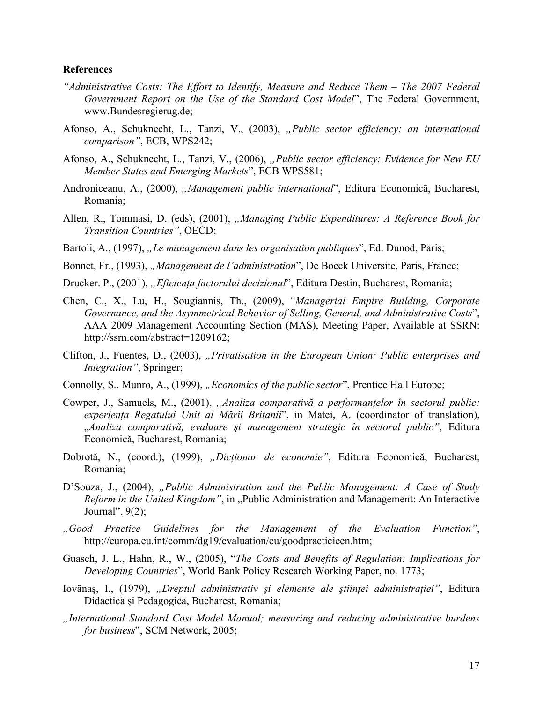#### **References**

- *"Administrative Costs: The Effort to Identify, Measure and Reduce Them The 2007 Federal Government Report on the Use of the Standard Cost Model*", The Federal Government, www.Bundesregierug.de;
- Afonso, A., Schuknecht, L., Tanzi, V., (2003), *"Public sector efficiency: an international comparison"*, ECB, WPS242;
- Afonso, A., Schuknecht, L., Tanzi, V., (2006), "Public sector efficiency: Evidence for New EU *Member States and Emerging Markets*", ECB WPS581;
- Androniceanu, A., (2000), *"Management public international*", Editura Economică, Bucharest, Romania;
- Allen, R., Tommasi, D. (eds), (2001), *"Managing Public Expenditures: A Reference Book for Transition Countries"*, OECD;
- Bartoli, A., (1997), "Le management dans les organisation publiques", Ed. Dunod. Paris:
- Bonnet, Fr., (1993), *"Management de l'administration*", De Boeck Universite, Paris, France;
- Drucker. P., (2001), *"Eficiența factorului decizional*", Editura Destin, Bucharest, Romania;
- Chen, C., X., Lu, H., Sougiannis, Th., (2009), "*Managerial Empire Building, Corporate Governance, and the Asymmetrical Behavior of Selling, General, and Administrative Costs*", AAA 2009 Management Accounting Section (MAS), Meeting Paper, Available at SSRN: http://ssrn.com/abstract=1209162;
- Clifton, J., Fuentes, D., (2003), *"Privatisation in the European Union: Public enterprises and Integration"*, Springer;
- Connolly, S., Munro, A., (1999), *"Economics of the public sector*", Prentice Hall Europe;
- Cowper, J., Samuels, M., (2001), *"Analiza comparativă a performanţelor în sectorul public: experienţa Regatului Unit al Mării Britanii*", in Matei, A. (coordinator of translation), "*Analiza comparativă, evaluare şi management strategic în sectorul public"*, Editura Economică, Bucharest, Romania;
- Dobrotă, N., (coord.), (1999), *"Dicţionar de economie"*, Editura Economică, Bucharest, Romania;
- D'Souza, J., (2004), *"Public Administration and the Public Management: A Case of Study Reform in the United Kingdom"*, in "Public Administration and Management: An Interactive Journal", 9(2);
- *"Good Practice Guidelines for the Management of the Evaluation Function"*, http://europa.eu.int/comm/dg19/evaluation/eu/goodpracticieen.htm;
- Guasch, J. L., Hahn, R., W., (2005), "*The Costs and Benefits of Regulation: Implications for Developing Countries*", World Bank Policy Research Working Paper, no. 1773;
- Iovănaş, I., (1979), *"Dreptul administrativ şi elemente ale ştiinţei administraţiei"*, Editura Didactică şi Pedagogică, Bucharest, Romania;
- *"International Standard Cost Model Manual; measuring and reducing administrative burdens for business*", SCM Network, 2005;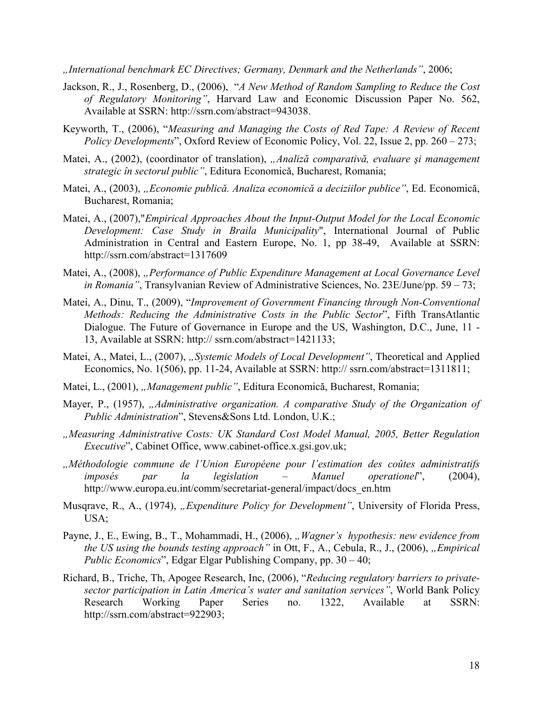*"International benchmark EC Directives; Germany, Denmark and the Netherlands"*, 2006;

- Jackson, R., J., Rosenberg, D., (2006), "*A New Method of Random Sampling to Reduce the Cost of Regulatory Monitoring"*, Harvard Law and Economic Discussion Paper No. 562, Available at SSRN: http://ssrn.com/abstract=943038.
- Keyworth, T., (2006), "*Measuring and Managing the Costs of Red Tape: A Review of Recent Policy Developments*", Oxford Review of Economic Policy, Vol. 22, Issue 2, pp. 260 – 273;
- Matei, A., (2002), (coordinator of translation), *"Analiză comparativă, evaluare şi management strategic în sectorul public"*, Editura Economică, Bucharest, Romania;
- Matei, A., (2003), *"Economie publică. Analiza economică a deciziilor publice"*, Ed. Economică, Bucharest, Romania;
- Matei, A., (2007),"*Empirical Approaches About the Input-Output Model for the Local Economic Development: Case Study in Braila Municipality*", International Journal of Public Administration in Central and Eastern Europe, No. 1, pp 38-49, Available at SSRN: http://ssrn.com/abstract=1317609
- Matei, A., (2008), *"Performance of Public Expenditure Management at Local Governance Level in Romania"*, Transylvanian Review of Administrative Sciences, No. 23E/June/pp. 59 – 73;
- Matei, A., Dinu, T., (2009), "*Improvement of Government Financing through Non-Conventional Methods: Reducing the Administrative Costs in the Public Sector*", Fifth TransAtlantic Dialogue. The Future of Governance in Europe and the US, Washington, D.C., June, 11 - 13, Available at SSRN: http:// ssrn.com/abstract=1421133;
- Matei, A., Matei, L., (2007), *"Systemic Models of Local Development*", Theoretical and Applied Economics, No. 1(506), pp. 11-24, Available at SSRN: http:// ssrn.com/abstract=1311811;
- Matei, L., (2001), *"Management public"*, Editura Economică, Bucharest, Romania;
- Mayer, P., (1957), *"Administrative organization. A comparative Study of the Organization of Public Administration*", Stevens&Sons Ltd. London, U.K.;
- *"Measuring Administrative Costs: UK Standard Cost Model Manual, 2005, Better Regulation Executive*", Cabinet Office, www.cabinet-office.x.gsi.gov.uk;
- *"Méthodologie commune de l'Union Européene pour l'estimation des coûtes administratifs imposés par la legislation – Manuel operationel*", (2004), http://www.europa.eu.int/comm/secretariat-general/impact/docs\_en.htm
- Musqrave, R., A., (1974), *"Expenditure Policy for Development"*, University of Florida Press, USA;
- Payne, J., E., Ewing, B., T., Mohammadi, H., (2006), *"Wagner's hypothesis: new evidence from the US using the bounds testing approach*" in Ott, F., A., Cebula, R., J., (2006), *"Empirical Public Economics*", Edgar Elgar Publishing Company, pp. 30 – 40;
- Richard, B., Triche, Th, Apogee Research, Inc, (2006), "*Reducing regulatory barriers to privatesector participation in Latin America's water and sanitation services"*, World Bank Policy Research Working Paper Series no. 1322, Available at SSRN: http://ssrn.com/abstract=922903;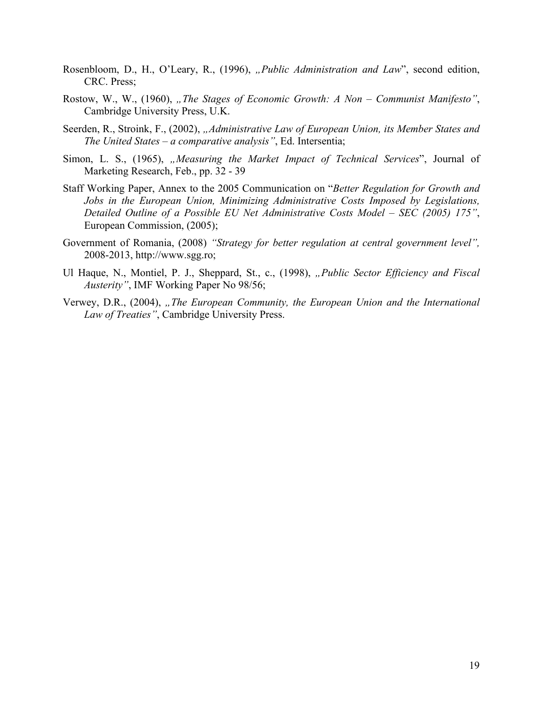- Rosenbloom, D., H., O'Leary, R., (1996), *"Public Administration and Law*", second edition, CRC. Press;
- Rostow, W., W., (1960), "The Stages of Economic Growth: A Non Communist Manifesto", Cambridge University Press, U.K.
- Seerden, R., Stroink, F., (2002), *"Administrative Law of European Union, its Member States and The United States – a comparative analysis"*, Ed. Intersentia;
- Simon, L. S., (1965), "Measuring the Market Impact of Technical Services", Journal of Marketing Research, Feb., pp. 32 - 39
- Staff Working Paper, Annex to the 2005 Communication on "*Better Regulation for Growth and Jobs in the European Union, Minimizing Administrative Costs Imposed by Legislations, Detailed Outline of a Possible EU Net Administrative Costs Model – SEC (2005) 175"*, European Commission, (2005);
- Government of Romania, (2008) *"Strategy for better regulation at central government level",*  2008-2013, http://www.sgg.ro;
- Ul Haque, N., Montiel, P. J., Sheppard, St., c., (1998), *"Public Sector Efficiency and Fiscal Austerity"*, IMF Working Paper No 98/56;
- Verwey, D.R., (2004), "The European Community, the European Union and the International *Law of Treaties"*, Cambridge University Press.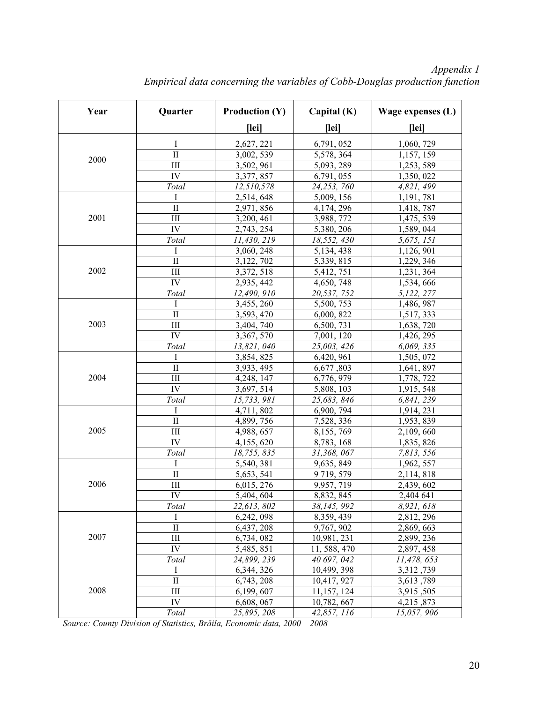| Year | Quarter             | <b>Production (Y)</b>   | Capital (K)  | Wage expenses (L) |
|------|---------------------|-------------------------|--------------|-------------------|
|      |                     | [lei]                   | [lei]        | [lei]             |
|      | Ι                   | 2,627, 221              | 6,791,052    | 1,060, 729        |
|      | $\overline{\rm II}$ | 3,002, 539              | 5,578, 364   | 1,157, 159        |
| 2000 | III                 | 3,502, 961              | 5,093, 289   | 1,253,589         |
|      | IV                  | 3,377, 857              | 6,791,055    | 1,350, 022        |
|      | Total               | 12,510,578              | 24,253,760   | 4,821, 499        |
|      | I                   | 2,514,648               | 5,009, 156   | 1,191,781         |
|      | $\mathbf{I}$        | 2,971, 856              | 4,174, 296   | 1,418, 787        |
| 2001 | III                 | 3,200, 461              | 3,988, 772   | 1,475, 539        |
|      | IV                  | 2,743, 254              | 5,380, 206   | 1,589, 044        |
|      | Total               | 11,430, 219             | 18,552, 430  | 5,675, 151        |
|      | I                   | 3,060, 248              | 5,134,438    | 1,126, 901        |
|      | $\rm II$            | 3,122, 702              | 5,339, 815   | 1,229, 346        |
| 2002 | III                 | 3,372, 518              | 5,412, 751   | 1,231, 364        |
|      | IV                  | 2,935, 442              | 4,650, 748   | 1,534,666         |
|      | Total               | 12,490, 910             | 20,537, 752  | 5,122, 277        |
|      | I                   | $\overline{3,}455, 260$ | 5,500, 753   | 1,486, 987        |
|      | $\rm II$            | 3,593, 470              | 6,000, 822   | 1,517, 333        |
| 2003 | III                 | 3,404, 740              | 6,500, 731   | 1,638, 720        |
|      | IV                  | 3,367,570               | 7,001, 120   | 1,426, 295        |
|      | Total               | 13,821,040              | 25,003, 426  | 6,069, 335        |
|      | T                   | 3,854,825               | 6,420, 961   | 1,505, 072        |
|      | $\rm II$            | 3,933, 495              | 6,677,803    | 1,641, 897        |
| 2004 | III                 | 4,248, 147              | 6,776, 979   | 1,778, 722        |
|      | IV                  | 3,697, 514              | 5,808, 103   | 1,915, 548        |
|      | Total               | 15,733,981              | 25,683, 846  | 6,841, 239        |
|      | I                   | 4,711,802               | 6,900, 794   | 1,914, 231        |
|      | $\mathbf{I}$        | 4,899, 756              | 7,528, 336   | 1,953, 839        |
| 2005 | III                 | 4,988, 657              | 8,155,769    | 2,109,660         |
|      | IV                  | 4,155,620               | 8,783, 168   | 1,835, 826        |
|      | Total               | 18,755,835              | 31,368,067   | 7,813, 556        |
|      | I                   | 5,540, 381              | 9,635, 849   | 1,962, 557        |
|      | $\mathbf{I}$        | 5,653, 541              | 9719, 579    | 2,114,818         |
| 2006 | III                 | 6,015, 276              | 9,957, 719   | 2,439, 602        |
|      | ${\rm IV}$          | 5,404,604               | 8,832,845    | 2,404 641         |
|      | Total               | 22,613,802              | 38,145,992   | 8,921,618         |
|      | Ι                   | 6,242,098               | 8,359,439    | 2,812, 296        |
|      | $\rm II$            | 6,437, 208              | 9,767, 902   | 2,869,663         |
| 2007 | $III$               | 6,734,082               | 10,981, 231  | 2,899, 236        |
|      | IV                  | 5,485,851               | 11, 588, 470 | 2,897, 458        |
|      | Total               | 24,899, 239             | 40 697, 042  | 11,478, 653       |
|      | Ι                   | 6,344, 326              | 10,499, 398  | 3,312,739         |
|      | $\rm II$            | 6,743, 208              | 10,417, 927  | 3,613,789         |
| 2008 | $III$               | 6,199,607               | 11,157, 124  | 3,915,505         |
|      | IV                  | 6,608, 067              | 10,782, 667  | 4,215,873         |
|      | Total               | 25,895, 208             | 42,857, 116  | 15,057, 906       |

*Appendix 1 Empirical data concerning the variables of Cobb-Douglas production function* 

*Source: County Division of Statistics, Brăila, Economic data, 2000 – 2008*